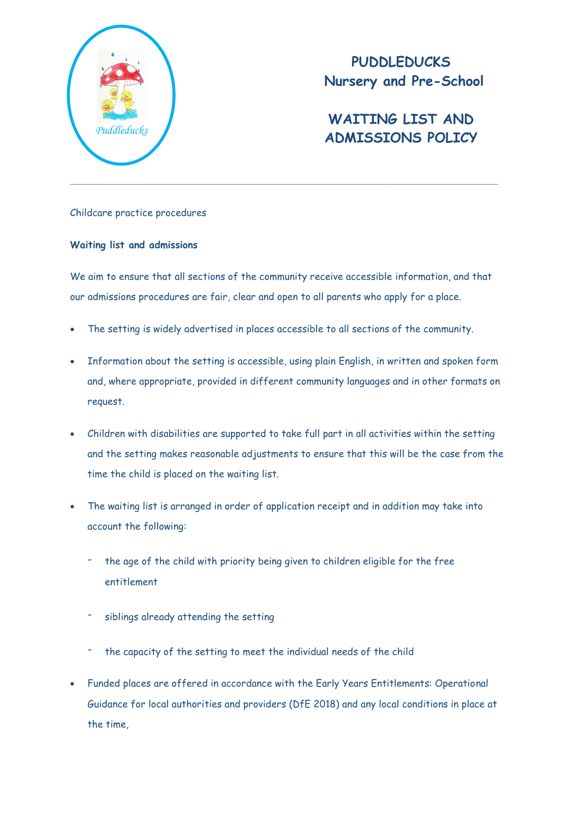

**PUDDLEDUCKS Nursery and Pre-School**

# **WAITING LIST AND ADMISSIONS POLICY** *Puddleducks*

## Childcare practice procedures

### **Waiting list and admissions**

We aim to ensure that all sections of the community receive accessible information, and that our admissions procedures are fair, clear and open to all parents who apply for a place.

- The setting is widely advertised in places accessible to all sections of the community.
- Information about the setting is accessible, using plain English, in written and spoken form and, where appropriate, provided in different community languages and in other formats on request.
- Children with disabilities are supported to take full part in all activities within the setting and the setting makes reasonable adjustments to ensure that this will be the case from the time the child is placed on the waiting list.
- The waiting list is arranged in order of application receipt and in addition may take into account the following:
	- the age of the child with priority being given to children eligible for the free entitlement
	- siblings already attending the setting
	- the capacity of the setting to meet the individual needs of the child
- Funded places are offered in accordance with the Early Years Entitlements: Operational Guidance for local authorities and providers (DfE 2018) and any local conditions in place at the time,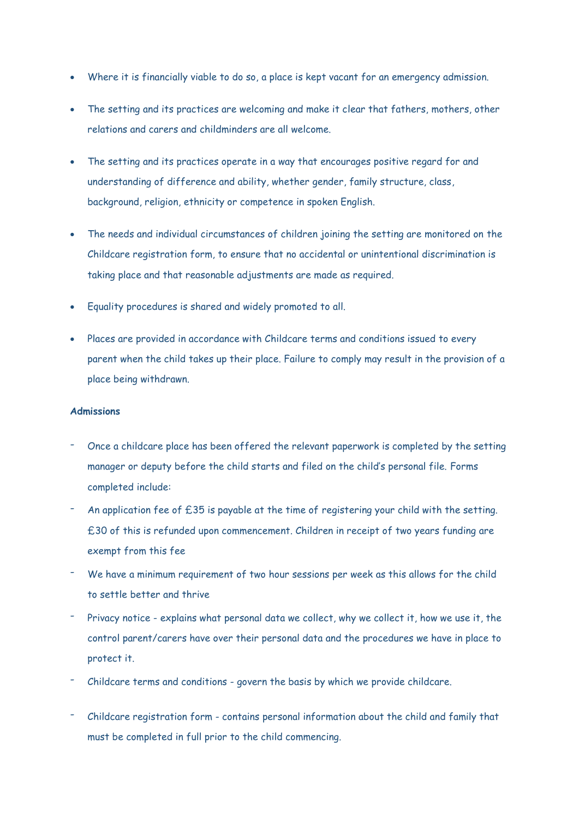- Where it is financially viable to do so, a place is kept vacant for an emergency admission.
- The setting and its practices are welcoming and make it clear that fathers, mothers, other relations and carers and childminders are all welcome.
- The setting and its practices operate in a way that encourages positive regard for and understanding of difference and ability, whether gender, family structure, class, background, religion, ethnicity or competence in spoken English.
- The needs and individual circumstances of children joining the setting are monitored on the Childcare registration form, to ensure that no accidental or unintentional discrimination is taking place and that reasonable adjustments are made as required.
- Equality procedures is shared and widely promoted to all.
- Places are provided in accordance with Childcare terms and conditions issued to every parent when the child takes up their place. Failure to comply may result in the provision of a place being withdrawn.

#### **Admissions**

- Once a childcare place has been offered the relevant paperwork is completed by the setting manager or deputy before the child starts and filed on the child's personal file. Forms completed include:
- An application fee of £35 is payable at the time of registering your child with the setting. £30 of this is refunded upon commencement. Children in receipt of two years funding are exempt from this fee
- We have a minimum requirement of two hour sessions per week as this allows for the child to settle better and thrive
- Privacy notice explains what personal data we collect, why we collect it, how we use it, the control parent/carers have over their personal data and the procedures we have in place to protect it.
- Childcare terms and conditions govern the basis by which we provide childcare.
- Childcare registration form contains personal information about the child and family that must be completed in full prior to the child commencing.